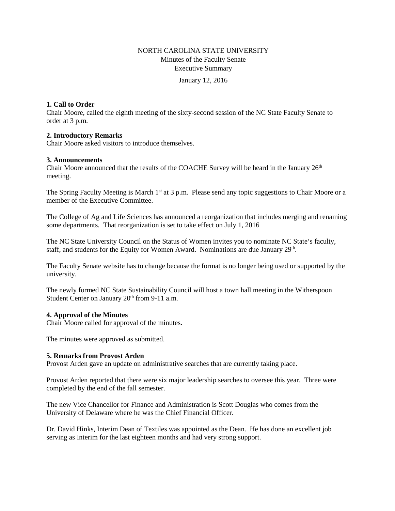## NORTH CAROLINA STATE UNIVERSITY Minutes of the Faculty Senate Executive Summary

January 12, 2016

## **1. Call to Order**

Chair Moore, called the eighth meeting of the sixty-second session of the NC State Faculty Senate to order at 3 p.m.

## **2. Introductory Remarks**

Chair Moore asked visitors to introduce themselves.

## **3. Announcements**

Chair Moore announced that the results of the COACHE Survey will be heard in the January  $26<sup>th</sup>$ meeting.

The Spring Faculty Meeting is March 1<sup>st</sup> at 3 p.m. Please send any topic suggestions to Chair Moore or a member of the Executive Committee.

The College of Ag and Life Sciences has announced a reorganization that includes merging and renaming some departments. That reorganization is set to take effect on July 1, 2016

The NC State University Council on the Status of Women invites you to nominate NC State's faculty, staff, and students for the Equity for Women Award. Nominations are due January  $29<sup>th</sup>$ .

The Faculty Senate website has to change because the format is no longer being used or supported by the university.

The newly formed NC State Sustainability Council will host a town hall meeting in the Witherspoon Student Center on January 20<sup>th</sup> from 9-11 a.m.

## **4. Approval of the Minutes**

Chair Moore called for approval of the minutes.

The minutes were approved as submitted.

## **5. Remarks from Provost Arden**

Provost Arden gave an update on administrative searches that are currently taking place.

Provost Arden reported that there were six major leadership searches to oversee this year. Three were completed by the end of the fall semester.

The new Vice Chancellor for Finance and Administration is Scott Douglas who comes from the University of Delaware where he was the Chief Financial Officer.

Dr. David Hinks, Interim Dean of Textiles was appointed as the Dean. He has done an excellent job serving as Interim for the last eighteen months and had very strong support.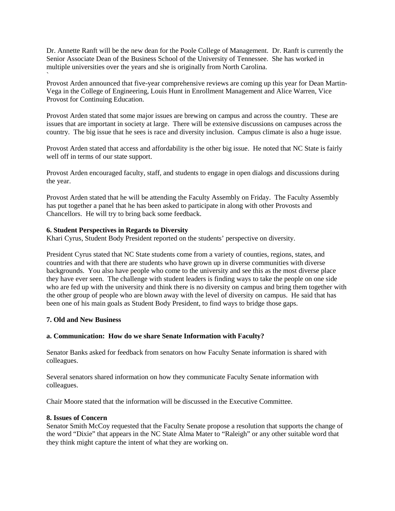Dr. Annette Ranft will be the new dean for the Poole College of Management. Dr. Ranft is currently the Senior Associate Dean of the Business School of the University of Tennessee. She has worked in multiple universities over the years and she is originally from North Carolina.

Provost Arden announced that five-year comprehensive reviews are coming up this year for Dean Martin-Vega in the College of Engineering, Louis Hunt in Enrollment Management and Alice Warren, Vice Provost for Continuing Education.

Provost Arden stated that some major issues are brewing on campus and across the country. These are issues that are important in society at large. There will be extensive discussions on campuses across the country. The big issue that he sees is race and diversity inclusion. Campus climate is also a huge issue.

Provost Arden stated that access and affordability is the other big issue. He noted that NC State is fairly well off in terms of our state support.

Provost Arden encouraged faculty, staff, and students to engage in open dialogs and discussions during the year.

Provost Arden stated that he will be attending the Faculty Assembly on Friday. The Faculty Assembly has put together a panel that he has been asked to participate in along with other Provosts and Chancellors. He will try to bring back some feedback.

## **6. Student Perspectives in Regards to Diversity**

Khari Cyrus, Student Body President reported on the students' perspective on diversity.

President Cyrus stated that NC State students come from a variety of counties, regions, states, and countries and with that there are students who have grown up in diverse communities with diverse backgrounds. You also have people who come to the university and see this as the most diverse place they have ever seen. The challenge with student leaders is finding ways to take the people on one side who are fed up with the university and think there is no diversity on campus and bring them together with the other group of people who are blown away with the level of diversity on campus. He said that has been one of his main goals as Student Body President, to find ways to bridge those gaps.

#### **7. Old and New Business**

`

#### **a. Communication: How do we share Senate Information with Faculty?**

Senator Banks asked for feedback from senators on how Faculty Senate information is shared with colleagues.

Several senators shared information on how they communicate Faculty Senate information with colleagues.

Chair Moore stated that the information will be discussed in the Executive Committee.

## **8. Issues of Concern**

Senator Smith McCoy requested that the Faculty Senate propose a resolution that supports the change of the word "Dixie" that appears in the NC State Alma Mater to "Raleigh" or any other suitable word that they think might capture the intent of what they are working on.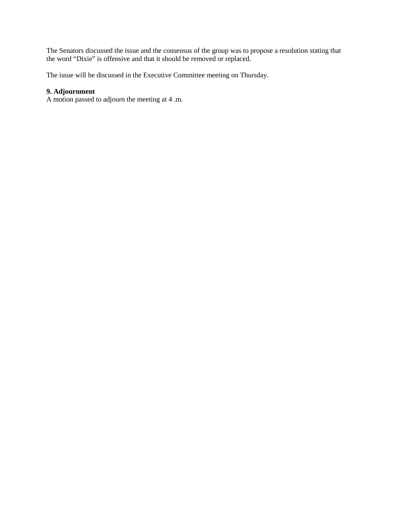The Senators discussed the issue and the consensus of the group was to propose a resolution stating that the word "Dixie" is offensive and that it should be removed or replaced.

The issue will be discussed in the Executive Committee meeting on Thursday.

# **9. Adjournment**

A motion passed to adjourn the meeting at 4 .m.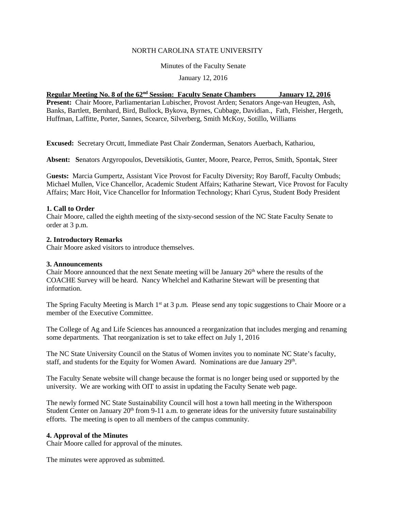## NORTH CAROLINA STATE UNIVERSITY

Minutes of the Faculty Senate

January 12, 2016

## **Regular Meeting No. 8 of the 62nd Session: Faculty Senate Chambers January 12, 2016**

**Present:** Chair Moore, Parliamentarian Lubischer, Provost Arden; Senators Ange-van Heugten, Ash, Banks, Bartlett, Bernhard, Bird, Bullock, Bykova, Byrnes, Cubbage, Davidian., Fath, Fleisher, Hergeth, Huffman, Laffitte, Porter, Sannes, Scearce, Silverberg, Smith McKoy, Sotillo, Williams

**Excused:** Secretary Orcutt, Immediate Past Chair Zonderman, Senators Auerbach, Kathariou,

**Absent: S**enators Argyropoulos, Devetsikiotis, Gunter, Moore, Pearce, Perros, Smith, Spontak, Steer

G**uests:** Marcia Gumpertz, Assistant Vice Provost for Faculty Diversity; Roy Baroff, Faculty Ombuds; Michael Mullen, Vice Chancellor, Academic Student Affairs; Katharine Stewart, Vice Provost for Faculty Affairs; Marc Hoit, Vice Chancellor for Information Technology; Khari Cyrus, Student Body President

## **1. Call to Order**

Chair Moore, called the eighth meeting of the sixty-second session of the NC State Faculty Senate to order at 3 p.m.

## **2. Introductory Remarks**

Chair Moore asked visitors to introduce themselves.

#### **3. Announcements**

Chair Moore announced that the next Senate meeting will be January  $26<sup>th</sup>$  where the results of the COACHE Survey will be heard. Nancy Whelchel and Katharine Stewart will be presenting that information.

The Spring Faculty Meeting is March 1<sup>st</sup> at 3 p.m. Please send any topic suggestions to Chair Moore or a member of the Executive Committee.

The College of Ag and Life Sciences has announced a reorganization that includes merging and renaming some departments. That reorganization is set to take effect on July 1, 2016

The NC State University Council on the Status of Women invites you to nominate NC State's faculty, staff, and students for the Equity for Women Award. Nominations are due January 29<sup>th</sup>.

The Faculty Senate website will change because the format is no longer being used or supported by the university. We are working with OIT to assist in updating the Faculty Senate web page.

The newly formed NC State Sustainability Council will host a town hall meeting in the Witherspoon Student Center on January  $20<sup>th</sup>$  from 9-11 a.m. to generate ideas for the university future sustainability efforts. The meeting is open to all members of the campus community.

#### **4. Approval of the Minutes**

Chair Moore called for approval of the minutes.

The minutes were approved as submitted.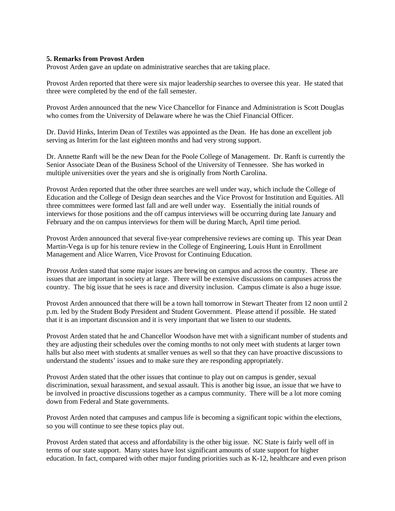## **5. Remarks from Provost Arden**

Provost Arden gave an update on administrative searches that are taking place.

Provost Arden reported that there were six major leadership searches to oversee this year. He stated that three were completed by the end of the fall semester.

Provost Arden announced that the new Vice Chancellor for Finance and Administration is Scott Douglas who comes from the University of Delaware where he was the Chief Financial Officer.

Dr. David Hinks, Interim Dean of Textiles was appointed as the Dean. He has done an excellent job serving as Interim for the last eighteen months and had very strong support.

Dr. Annette Ranft will be the new Dean for the Poole College of Management. Dr. Ranft is currently the Senior Associate Dean of the Business School of the University of Tennessee. She has worked in multiple universities over the years and she is originally from North Carolina.

Provost Arden reported that the other three searches are well under way, which include the College of Education and the College of Design dean searches and the Vice Provost for Institution and Equities. All three committees were formed last fall and are well under way. Essentially the initial rounds of interviews for those positions and the off campus interviews will be occurring during late January and February and the on campus interviews for them will be during March, April time period.

Provost Arden announced that several five-year comprehensive reviews are coming up. This year Dean Martin-Vega is up for his tenure review in the College of Engineering, Louis Hunt in Enrollment Management and Alice Warren, Vice Provost for Continuing Education.

Provost Arden stated that some major issues are brewing on campus and across the country. These are issues that are important in society at large. There will be extensive discussions on campuses across the country. The big issue that he sees is race and diversity inclusion. Campus climate is also a huge issue.

Provost Arden announced that there will be a town hall tomorrow in Stewart Theater from 12 noon until 2 p.m. led by the Student Body President and Student Government. Please attend if possible. He stated that it is an important discussion and it is very important that we listen to our students.

Provost Arden stated that he and Chancellor Woodson have met with a significant number of students and they are adjusting their schedules over the coming months to not only meet with students at larger town halls but also meet with students at smaller venues as well so that they can have proactive discussions to understand the students' issues and to make sure they are responding appropriately.

Provost Arden stated that the other issues that continue to play out on campus is gender, sexual discrimination, sexual harassment, and sexual assault. This is another big issue, an issue that we have to be involved in proactive discussions together as a campus community. There will be a lot more coming down from Federal and State governments.

Provost Arden noted that campuses and campus life is becoming a significant topic within the elections, so you will continue to see these topics play out.

Provost Arden stated that access and affordability is the other big issue. NC State is fairly well off in terms of our state support. Many states have lost significant amounts of state support for higher education. In fact, compared with other major funding priorities such as K-12, healthcare and even prison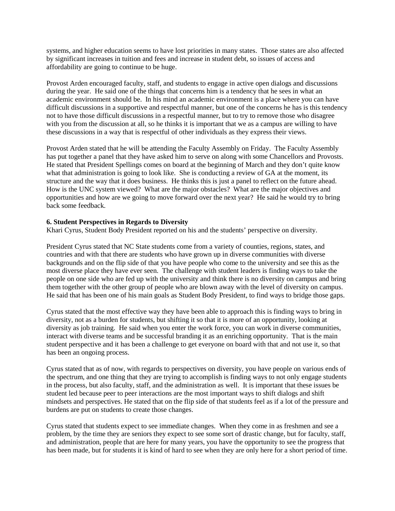systems, and higher education seems to have lost priorities in many states. Those states are also affected by significant increases in tuition and fees and increase in student debt, so issues of access and affordability are going to continue to be huge.

Provost Arden encouraged faculty, staff, and students to engage in active open dialogs and discussions during the year. He said one of the things that concerns him is a tendency that he sees in what an academic environment should be. In his mind an academic environment is a place where you can have difficult discussions in a supportive and respectful manner, but one of the concerns he has is this tendency not to have those difficult discussions in a respectful manner, but to try to remove those who disagree with you from the discussion at all, so he thinks it is important that we as a campus are willing to have these discussions in a way that is respectful of other individuals as they express their views.

Provost Arden stated that he will be attending the Faculty Assembly on Friday. The Faculty Assembly has put together a panel that they have asked him to serve on along with some Chancellors and Provosts. He stated that President Spellings comes on board at the beginning of March and they don't quite know what that administration is going to look like. She is conducting a review of GA at the moment, its structure and the way that it does business. He thinks this is just a panel to reflect on the future ahead. How is the UNC system viewed? What are the major obstacles? What are the major objectives and opportunities and how are we going to move forward over the next year? He said he would try to bring back some feedback.

## **6. Student Perspectives in Regards to Diversity**

Khari Cyrus, Student Body President reported on his and the students' perspective on diversity.

President Cyrus stated that NC State students come from a variety of counties, regions, states, and countries and with that there are students who have grown up in diverse communities with diverse backgrounds and on the flip side of that you have people who come to the university and see this as the most diverse place they have ever seen. The challenge with student leaders is finding ways to take the people on one side who are fed up with the university and think there is no diversity on campus and bring them together with the other group of people who are blown away with the level of diversity on campus. He said that has been one of his main goals as Student Body President, to find ways to bridge those gaps.

Cyrus stated that the most effective way they have been able to approach this is finding ways to bring in diversity, not as a burden for students, but shifting it so that it is more of an opportunity, looking at diversity as job training. He said when you enter the work force, you can work in diverse communities, interact with diverse teams and be successful branding it as an enriching opportunity. That is the main student perspective and it has been a challenge to get everyone on board with that and not use it, so that has been an ongoing process.

Cyrus stated that as of now, with regards to perspectives on diversity, you have people on various ends of the spectrum, and one thing that they are trying to accomplish is finding ways to not only engage students in the process, but also faculty, staff, and the administration as well. It is important that these issues be student led because peer to peer interactions are the most important ways to shift dialogs and shift mindsets and perspectives. He stated that on the flip side of that students feel as if a lot of the pressure and burdens are put on students to create those changes.

Cyrus stated that students expect to see immediate changes. When they come in as freshmen and see a problem, by the time they are seniors they expect to see some sort of drastic change, but for faculty, staff, and administration, people that are here for many years, you have the opportunity to see the progress that has been made, but for students it is kind of hard to see when they are only here for a short period of time.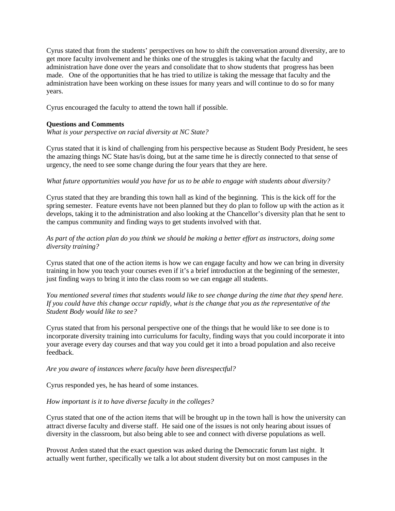Cyrus stated that from the students' perspectives on how to shift the conversation around diversity, are to get more faculty involvement and he thinks one of the struggles is taking what the faculty and administration have done over the years and consolidate that to show students that progress has been made. One of the opportunities that he has tried to utilize is taking the message that faculty and the administration have been working on these issues for many years and will continue to do so for many years.

Cyrus encouraged the faculty to attend the town hall if possible.

## **Questions and Comments**

*What is your perspective on racial diversity at NC State?* 

Cyrus stated that it is kind of challenging from his perspective because as Student Body President, he sees the amazing things NC State has/is doing, but at the same time he is directly connected to that sense of urgency, the need to see some change during the four years that they are here.

## *What future opportunities would you have for us to be able to engage with students about diversity?*

Cyrus stated that they are branding this town hall as kind of the beginning. This is the kick off for the spring semester. Feature events have not been planned but they do plan to follow up with the action as it develops, taking it to the administration and also looking at the Chancellor's diversity plan that he sent to the campus community and finding ways to get students involved with that.

## *As part of the action plan do you think we should be making a better effort as instructors, doing some diversity training?*

Cyrus stated that one of the action items is how we can engage faculty and how we can bring in diversity training in how you teach your courses even if it's a brief introduction at the beginning of the semester, just finding ways to bring it into the class room so we can engage all students.

*You mentioned several times that students would like to see change during the time that they spend here. If you could have this change occur rapidly, what is the change that you as the representative of the Student Body would like to see?* 

Cyrus stated that from his personal perspective one of the things that he would like to see done is to incorporate diversity training into curriculums for faculty, finding ways that you could incorporate it into your average every day courses and that way you could get it into a broad population and also receive feedback.

#### *Are you aware of instances where faculty have been disrespectful?*

Cyrus responded yes, he has heard of some instances.

## *How important is it to have diverse faculty in the colleges?*

Cyrus stated that one of the action items that will be brought up in the town hall is how the university can attract diverse faculty and diverse staff. He said one of the issues is not only hearing about issues of diversity in the classroom, but also being able to see and connect with diverse populations as well.

Provost Arden stated that the exact question was asked during the Democratic forum last night. It actually went further, specifically we talk a lot about student diversity but on most campuses in the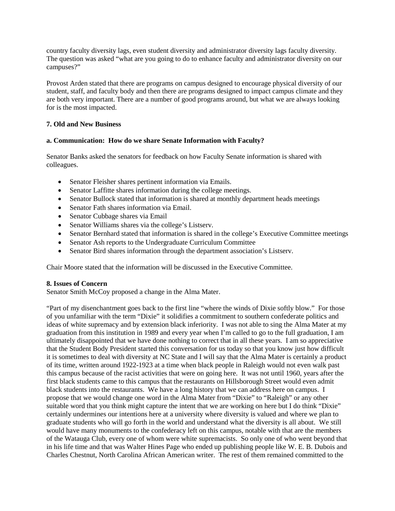country faculty diversity lags, even student diversity and administrator diversity lags faculty diversity. The question was asked "what are you going to do to enhance faculty and administrator diversity on our campuses?"

Provost Arden stated that there are programs on campus designed to encourage physical diversity of our student, staff, and faculty body and then there are programs designed to impact campus climate and they are both very important. There are a number of good programs around, but what we are always looking for is the most impacted.

## **7. Old and New Business**

## **a. Communication: How do we share Senate Information with Faculty?**

Senator Banks asked the senators for feedback on how Faculty Senate information is shared with colleagues.

- Senator Fleisher shares pertinent information via Emails.
- Senator Laffitte shares information during the college meetings.
- Senator Bullock stated that information is shared at monthly department heads meetings
- Senator Fath shares information via Email.
- Senator Cubbage shares via Email
- Senator Williams shares via the college's Listserv.
- Senator Bernhard stated that information is shared in the college's Executive Committee meetings
- Senator Ash reports to the Undergraduate Curriculum Committee
- Senator Bird shares information through the department association's Listserv.

Chair Moore stated that the information will be discussed in the Executive Committee.

## **8. Issues of Concern**

Senator Smith McCoy proposed a change in the Alma Mater.

"Part of my disenchantment goes back to the first line "where the winds of Dixie softly blow." For those of you unfamiliar with the term "Dixie" it solidifies a commitment to southern confederate politics and ideas of white supremacy and by extension black inferiority. I was not able to sing the Alma Mater at my graduation from this institution in 1989 and every year when I'm called to go to the full graduation, I am ultimately disappointed that we have done nothing to correct that in all these years. I am so appreciative that the Student Body President started this conversation for us today so that you know just how difficult it is sometimes to deal with diversity at NC State and I will say that the Alma Mater is certainly a product of its time, written around 1922-1923 at a time when black people in Raleigh would not even walk past this campus because of the racist activities that were on going here. It was not until 1960, years after the first black students came to this campus that the restaurants on Hillsborough Street would even admit black students into the restaurants. We have a long history that we can address here on campus. I propose that we would change one word in the Alma Mater from "Dixie" to "Raleigh" or any other suitable word that you think might capture the intent that we are working on here but I do think "Dixie" certainly undermines our intentions here at a university where diversity is valued and where we plan to graduate students who will go forth in the world and understand what the diversity is all about. We still would have many monuments to the confederacy left on this campus, notable with that are the members of the Watauga Club, every one of whom were white supremacists. So only one of who went beyond that in his life time and that was Walter Hines Page who ended up publishing people like W. E. B. Dubois and Charles Chestnut, North Carolina African American writer. The rest of them remained committed to the